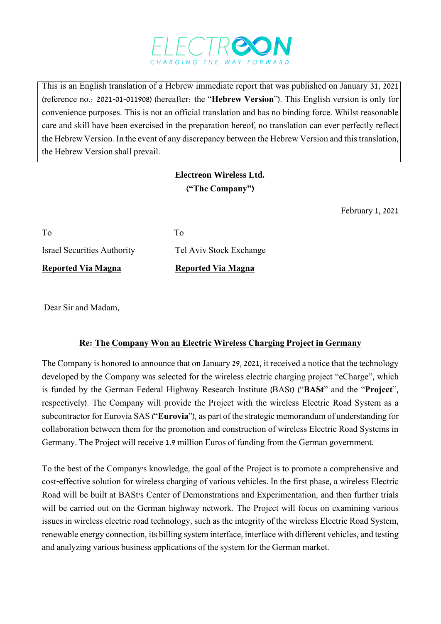

This is an English translation of a Hebrew immediate report that was published on January 31, 2021 (reference no.: 2021-01-011908) (hereafter: the "**Hebrew Version**"). This English version is only for convenience purposes. This is not an official translation and has no binding force. Whilst reasonable care and skill have been exercised in the preparation hereof, no translation can ever perfectly reflect the Hebrew Version. In the event of any discrepancy between the Hebrew Version and this translation, the Hebrew Version shall prevail.

## **Electreon Wireless Ltd. ("The Company")**

February 1, 2021

| Reported Via Magna                 | <b>Reported Via Magna</b> |
|------------------------------------|---------------------------|
| <b>Israel Securities Authority</b> | Tel Aviv Stock Exchange   |
| To                                 | Tο                        |

Dear Sir and Madam,

## **Re: The Company Won an Electric Wireless Charging Project in Germany**

The Company is honored to announce that on January 29, 2021, it received a notice that the technology developed by the Company was selected for the wireless electric charging project "eCharge", which is funded by the German Federal Highway Research Institute (BASt) ("**BASt**" and the "**Project**", respectively). The Company will provide the Project with the wireless Electric Road System as a subcontractor for Eurovia SAS ("**Eurovia**"), as part of the strategic memorandum of understanding for collaboration between them for the promotion and construction of wireless Electric Road Systems in Germany. The Project will receive 1.9 million Euros of funding from the German government.

To the best of the Company's knowledge, the goal of the Project is to promote a comprehensive and cost-effective solution for wireless charging of various vehicles. In the first phase, a wireless Electric Road will be built at BASt's Center of Demonstrations and Experimentation, and then further trials will be carried out on the German highway network. The Project will focus on examining various issues in wireless electric road technology, such as the integrity of the wireless Electric Road System, renewable energy connection, its billing system interface, interface with different vehicles, and testing and analyzing various business applications of the system for the German market.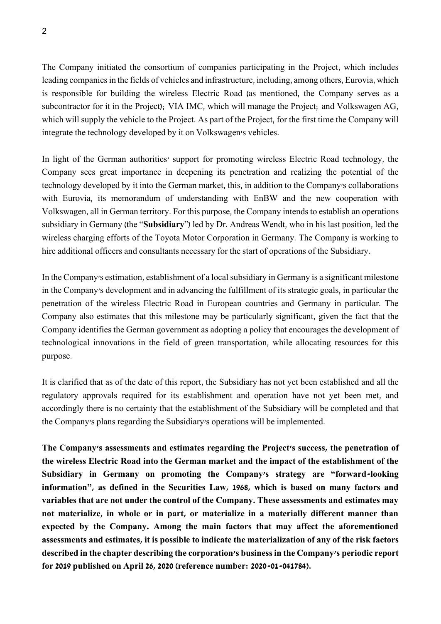The Company initiated the consortium of companies participating in the Project, which includes leading companies in the fields of vehicles and infrastructure, including, among others, Eurovia, which is responsible for building the wireless Electric Road (as mentioned, the Company serves as a subcontractor for it in the Project); VIA IMC, which will manage the Project; and Volkswagen AG, which will supply the vehicle to the Project. As part of the Project, for the first time the Company will integrate the technology developed by it on Volkswagen's vehicles.

In light of the German authorities' support for promoting wireless Electric Road technology, the Company sees great importance in deepening its penetration and realizing the potential of the technology developed by it into the German market, this, in addition to the Company's collaborations with Eurovia, its memorandum of understanding with EnBW and the new cooperation with Volkswagen, all in German territory. For this purpose, the Company intends to establish an operations subsidiary in Germany (the "**Subsidiary**") led by Dr. Andreas Wendt, who in his last position, led the wireless charging efforts of the Toyota Motor Corporation in Germany. The Company is working to hire additional officers and consultants necessary for the start of operations of the Subsidiary.

In the Company's estimation, establishment of a local subsidiary in Germany is a significant milestone in the Company's development and in advancing the fulfillment of its strategic goals, in particular the penetration of the wireless Electric Road in European countries and Germany in particular. The Company also estimates that this milestone may be particularly significant, given the fact that the Company identifies the German government as adopting a policy that encourages the development of technological innovations in the field of green transportation, while allocating resources for this purpose.

It is clarified that as of the date of this report, the Subsidiary has not yet been established and all the regulatory approvals required for its establishment and operation have not yet been met, and accordingly there is no certainty that the establishment of the Subsidiary will be completed and that the Company's plans regarding the Subsidiary's operations will be implemented.

**The Company's assessments and estimates regarding the Project's success, the penetration of the wireless Electric Road into the German market and the impact of the establishment of the Subsidiary in Germany on promoting the Company's strategy are "forward-looking information", as defined in the Securities Law, 1968, which is based on many factors and variables that are not under the control of the Company. These assessments and estimates may not materialize, in whole or in part, or materialize in a materially different manner than expected by the Company. Among the main factors that may affect the aforementioned assessments and estimates, it is possible to indicate the materialization of any of the risk factors described in the chapter describing the corporation's business in the Company's periodic report for 2019 published on April 26, 2020 (reference number: 2020-01-041784).**